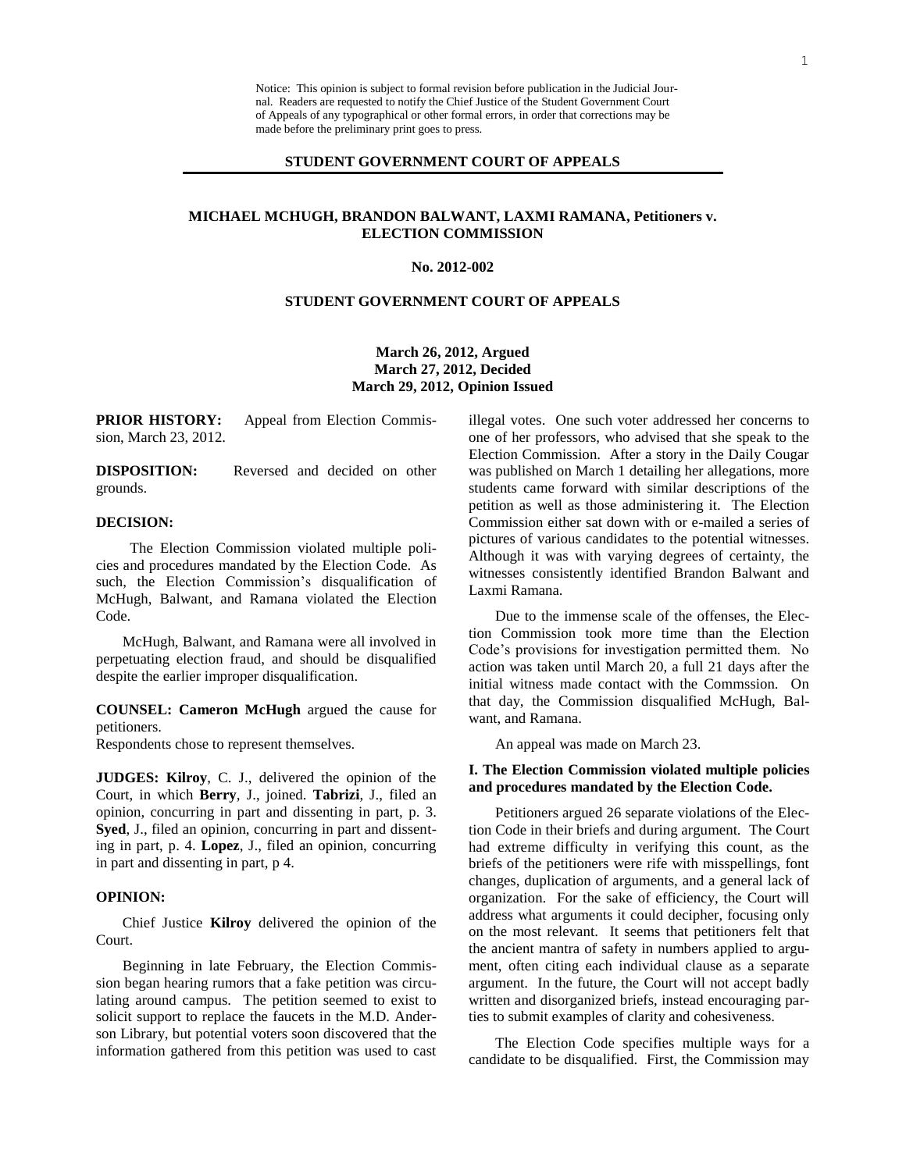Notice: This opinion is subject to formal revision before publication in the Judicial Journal. Readers are requested to notify the Chief Justice of the Student Government Court of Appeals of any typographical or other formal errors, in order that corrections may be made before the preliminary print goes to press.

## **STUDENT GOVERNMENT COURT OF APPEALS**

# **MICHAEL MCHUGH, BRANDON BALWANT, LAXMI RAMANA, Petitioners v. ELECTION COMMISSION**

#### **No. 2012-002**

# **STUDENT GOVERNMENT COURT OF APPEALS**

**March 26, 2012, Argued March 27, 2012, Decided March 29, 2012, Opinion Issued**

**PRIOR HISTORY:** Appeal from Election Commission, March 23, 2012.

**DISPOSITION:** Reversed and decided on other grounds.

### **DECISION:**

The Election Commission violated multiple policies and procedures mandated by the Election Code. As such, the Election Commission's disqualification of McHugh, Balwant, and Ramana violated the Election Code.

McHugh, Balwant, and Ramana were all involved in perpetuating election fraud, and should be disqualified despite the earlier improper disqualification.

**COUNSEL: Cameron McHugh** argued the cause for petitioners.

Respondents chose to represent themselves.

**JUDGES: Kilroy**, C. J., delivered the opinion of the Court, in which **Berry**, J., joined. **Tabrizi**, J., filed an opinion, concurring in part and dissenting in part, p. 3. **Syed**, J., filed an opinion, concurring in part and dissenting in part, p. 4. **Lopez**, J., filed an opinion, concurring in part and dissenting in part, p 4.

#### **OPINION:**

Chief Justice **Kilroy** delivered the opinion of the Court.

Beginning in late February, the Election Commission began hearing rumors that a fake petition was circulating around campus. The petition seemed to exist to solicit support to replace the faucets in the M.D. Anderson Library, but potential voters soon discovered that the information gathered from this petition was used to cast illegal votes. One such voter addressed her concerns to one of her professors, who advised that she speak to the Election Commission. After a story in the Daily Cougar was published on March 1 detailing her allegations, more students came forward with similar descriptions of the petition as well as those administering it. The Election Commission either sat down with or e-mailed a series of pictures of various candidates to the potential witnesses. Although it was with varying degrees of certainty, the witnesses consistently identified Brandon Balwant and Laxmi Ramana.

Due to the immense scale of the offenses, the Election Commission took more time than the Election Code's provisions for investigation permitted them. No action was taken until March 20, a full 21 days after the initial witness made contact with the Commssion. On that day, the Commission disqualified McHugh, Balwant, and Ramana.

An appeal was made on March 23.

## **I. The Election Commission violated multiple policies and procedures mandated by the Election Code.**

Petitioners argued 26 separate violations of the Election Code in their briefs and during argument. The Court had extreme difficulty in verifying this count, as the briefs of the petitioners were rife with misspellings, font changes, duplication of arguments, and a general lack of organization. For the sake of efficiency, the Court will address what arguments it could decipher, focusing only on the most relevant. It seems that petitioners felt that the ancient mantra of safety in numbers applied to argument, often citing each individual clause as a separate argument. In the future, the Court will not accept badly written and disorganized briefs, instead encouraging parties to submit examples of clarity and cohesiveness.

The Election Code specifies multiple ways for a candidate to be disqualified. First, the Commission may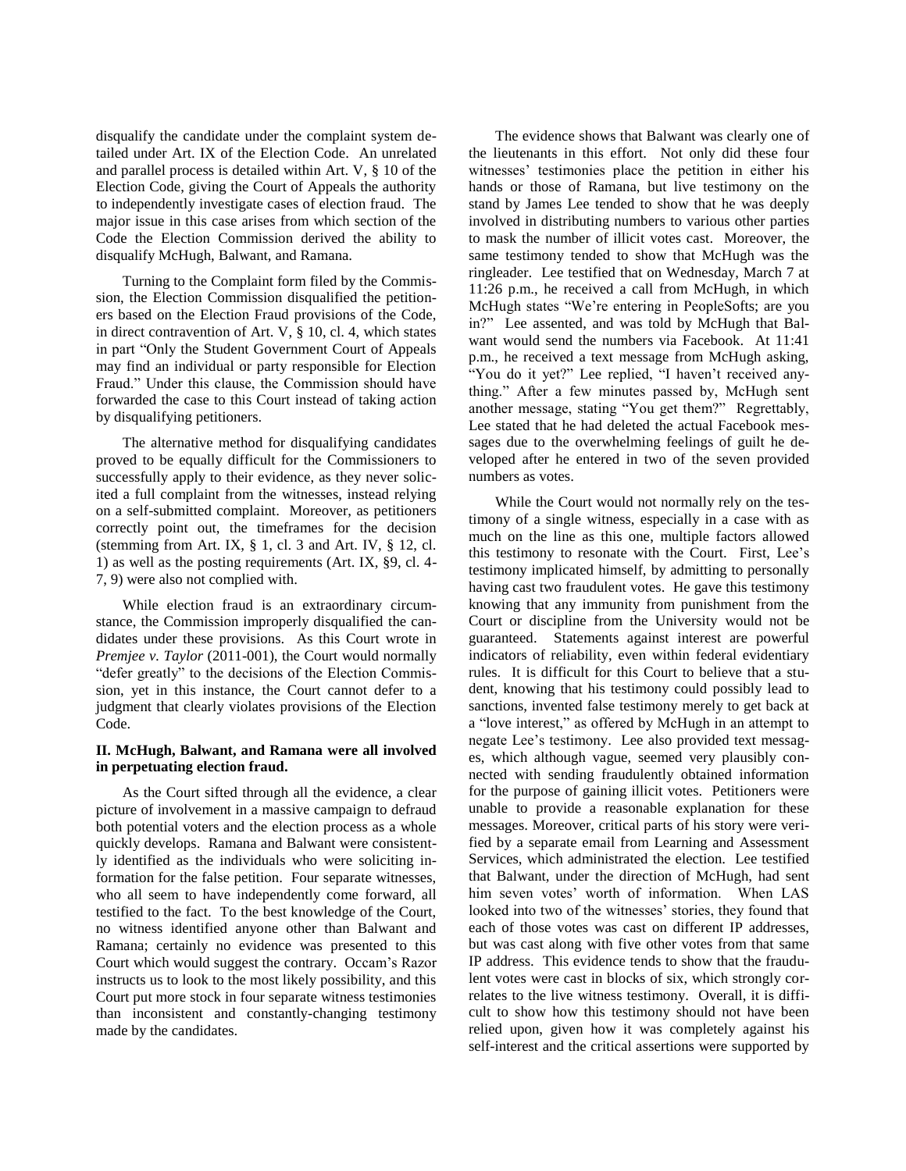disqualify the candidate under the complaint system detailed under Art. IX of the Election Code. An unrelated and parallel process is detailed within Art. V, § 10 of the Election Code, giving the Court of Appeals the authority to independently investigate cases of election fraud. The major issue in this case arises from which section of the Code the Election Commission derived the ability to disqualify McHugh, Balwant, and Ramana.

Turning to the Complaint form filed by the Commission, the Election Commission disqualified the petitioners based on the Election Fraud provisions of the Code, in direct contravention of Art. V, § 10, cl. 4, which states in part "Only the Student Government Court of Appeals may find an individual or party responsible for Election Fraud." Under this clause, the Commission should have forwarded the case to this Court instead of taking action by disqualifying petitioners.

The alternative method for disqualifying candidates proved to be equally difficult for the Commissioners to successfully apply to their evidence, as they never solicited a full complaint from the witnesses, instead relying on a self-submitted complaint. Moreover, as petitioners correctly point out, the timeframes for the decision (stemming from Art. IX,  $\S$  1, cl. 3 and Art. IV,  $\S$  12, cl. 1) as well as the posting requirements (Art. IX, §9, cl. 4- 7, 9) were also not complied with.

While election fraud is an extraordinary circumstance, the Commission improperly disqualified the candidates under these provisions. As this Court wrote in *Premjee v. Taylor* (2011-001), the Court would normally "defer greatly" to the decisions of the Election Commission, yet in this instance, the Court cannot defer to a judgment that clearly violates provisions of the Election Code.

## **II. McHugh, Balwant, and Ramana were all involved in perpetuating election fraud.**

As the Court sifted through all the evidence, a clear picture of involvement in a massive campaign to defraud both potential voters and the election process as a whole quickly develops. Ramana and Balwant were consistently identified as the individuals who were soliciting information for the false petition. Four separate witnesses, who all seem to have independently come forward, all testified to the fact. To the best knowledge of the Court, no witness identified anyone other than Balwant and Ramana; certainly no evidence was presented to this Court which would suggest the contrary. Occam's Razor instructs us to look to the most likely possibility, and this Court put more stock in four separate witness testimonies than inconsistent and constantly-changing testimony made by the candidates.

The evidence shows that Balwant was clearly one of the lieutenants in this effort. Not only did these four witnesses' testimonies place the petition in either his hands or those of Ramana, but live testimony on the stand by James Lee tended to show that he was deeply involved in distributing numbers to various other parties to mask the number of illicit votes cast. Moreover, the same testimony tended to show that McHugh was the ringleader. Lee testified that on Wednesday, March 7 at 11:26 p.m., he received a call from McHugh, in which McHugh states "We're entering in PeopleSofts; are you in?" Lee assented, and was told by McHugh that Balwant would send the numbers via Facebook. At 11:41 p.m., he received a text message from McHugh asking, "You do it yet?" Lee replied, "I haven't received anything." After a few minutes passed by, McHugh sent another message, stating "You get them?" Regrettably, Lee stated that he had deleted the actual Facebook messages due to the overwhelming feelings of guilt he developed after he entered in two of the seven provided numbers as votes.

While the Court would not normally rely on the testimony of a single witness, especially in a case with as much on the line as this one, multiple factors allowed this testimony to resonate with the Court. First, Lee's testimony implicated himself, by admitting to personally having cast two fraudulent votes. He gave this testimony knowing that any immunity from punishment from the Court or discipline from the University would not be guaranteed. Statements against interest are powerful indicators of reliability, even within federal evidentiary rules. It is difficult for this Court to believe that a student, knowing that his testimony could possibly lead to sanctions, invented false testimony merely to get back at a "love interest," as offered by McHugh in an attempt to negate Lee's testimony. Lee also provided text messages, which although vague, seemed very plausibly connected with sending fraudulently obtained information for the purpose of gaining illicit votes. Petitioners were unable to provide a reasonable explanation for these messages. Moreover, critical parts of his story were verified by a separate email from Learning and Assessment Services, which administrated the election. Lee testified that Balwant, under the direction of McHugh, had sent him seven votes' worth of information. When LAS looked into two of the witnesses' stories, they found that each of those votes was cast on different IP addresses, but was cast along with five other votes from that same IP address. This evidence tends to show that the fraudulent votes were cast in blocks of six, which strongly correlates to the live witness testimony. Overall, it is difficult to show how this testimony should not have been relied upon, given how it was completely against his self-interest and the critical assertions were supported by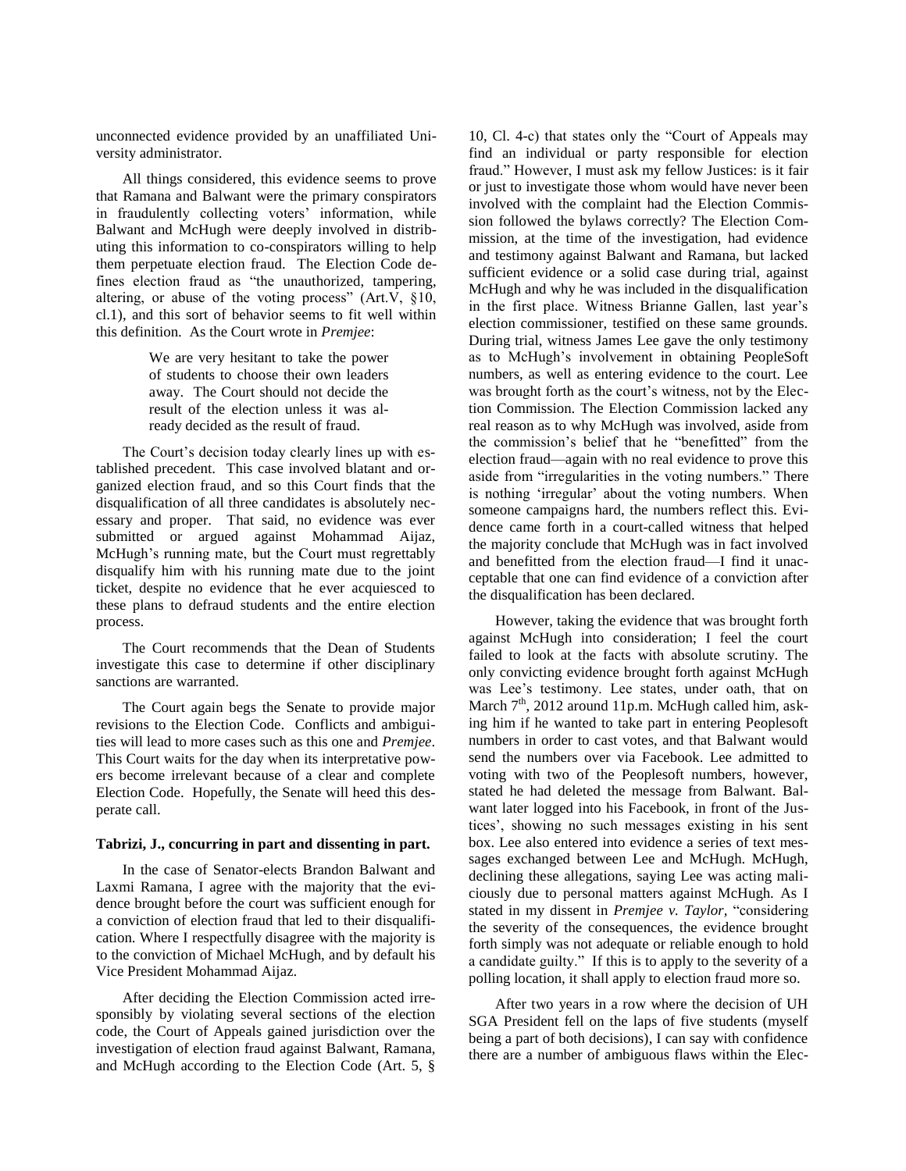unconnected evidence provided by an unaffiliated University administrator.

All things considered, this evidence seems to prove that Ramana and Balwant were the primary conspirators in fraudulently collecting voters' information, while Balwant and McHugh were deeply involved in distributing this information to co-conspirators willing to help them perpetuate election fraud. The Election Code defines election fraud as "the unauthorized, tampering, altering, or abuse of the voting process" (Art.V, §10, cl.1), and this sort of behavior seems to fit well within this definition. As the Court wrote in *Premjee*:

> We are very hesitant to take the power of students to choose their own leaders away. The Court should not decide the result of the election unless it was already decided as the result of fraud.

The Court's decision today clearly lines up with established precedent. This case involved blatant and organized election fraud, and so this Court finds that the disqualification of all three candidates is absolutely necessary and proper. That said, no evidence was ever submitted or argued against Mohammad Aijaz, McHugh's running mate, but the Court must regrettably disqualify him with his running mate due to the joint ticket, despite no evidence that he ever acquiesced to these plans to defraud students and the entire election process.

The Court recommends that the Dean of Students investigate this case to determine if other disciplinary sanctions are warranted.

The Court again begs the Senate to provide major revisions to the Election Code. Conflicts and ambiguities will lead to more cases such as this one and *Premjee*. This Court waits for the day when its interpretative powers become irrelevant because of a clear and complete Election Code. Hopefully, the Senate will heed this desperate call.

## **Tabrizi, J., concurring in part and dissenting in part.**

In the case of Senator-elects Brandon Balwant and Laxmi Ramana, I agree with the majority that the evidence brought before the court was sufficient enough for a conviction of election fraud that led to their disqualification. Where I respectfully disagree with the majority is to the conviction of Michael McHugh, and by default his Vice President Mohammad Aijaz.

After deciding the Election Commission acted irresponsibly by violating several sections of the election code, the Court of Appeals gained jurisdiction over the investigation of election fraud against Balwant, Ramana, and McHugh according to the Election Code (Art. 5, §

10, Cl. 4-c) that states only the "Court of Appeals may find an individual or party responsible for election fraud." However, I must ask my fellow Justices: is it fair or just to investigate those whom would have never been involved with the complaint had the Election Commission followed the bylaws correctly? The Election Commission, at the time of the investigation, had evidence and testimony against Balwant and Ramana, but lacked sufficient evidence or a solid case during trial, against McHugh and why he was included in the disqualification in the first place. Witness Brianne Gallen, last year's election commissioner, testified on these same grounds. During trial, witness James Lee gave the only testimony as to McHugh's involvement in obtaining PeopleSoft numbers, as well as entering evidence to the court. Lee was brought forth as the court's witness, not by the Election Commission. The Election Commission lacked any real reason as to why McHugh was involved, aside from the commission's belief that he "benefitted" from the election fraud—again with no real evidence to prove this aside from "irregularities in the voting numbers." There is nothing 'irregular' about the voting numbers. When someone campaigns hard, the numbers reflect this. Evidence came forth in a court-called witness that helped the majority conclude that McHugh was in fact involved and benefitted from the election fraud—I find it unacceptable that one can find evidence of a conviction after the disqualification has been declared.

However, taking the evidence that was brought forth against McHugh into consideration; I feel the court failed to look at the facts with absolute scrutiny. The only convicting evidence brought forth against McHugh was Lee's testimony. Lee states, under oath, that on March 7<sup>th</sup>, 2012 around 11p.m. McHugh called him, asking him if he wanted to take part in entering Peoplesoft numbers in order to cast votes, and that Balwant would send the numbers over via Facebook. Lee admitted to voting with two of the Peoplesoft numbers, however, stated he had deleted the message from Balwant. Balwant later logged into his Facebook, in front of the Justices', showing no such messages existing in his sent box. Lee also entered into evidence a series of text messages exchanged between Lee and McHugh. McHugh, declining these allegations, saying Lee was acting maliciously due to personal matters against McHugh. As I stated in my dissent in *Premjee v. Taylor,* "considering the severity of the consequences, the evidence brought forth simply was not adequate or reliable enough to hold a candidate guilty." If this is to apply to the severity of a polling location, it shall apply to election fraud more so.

After two years in a row where the decision of UH SGA President fell on the laps of five students (myself being a part of both decisions), I can say with confidence there are a number of ambiguous flaws within the Elec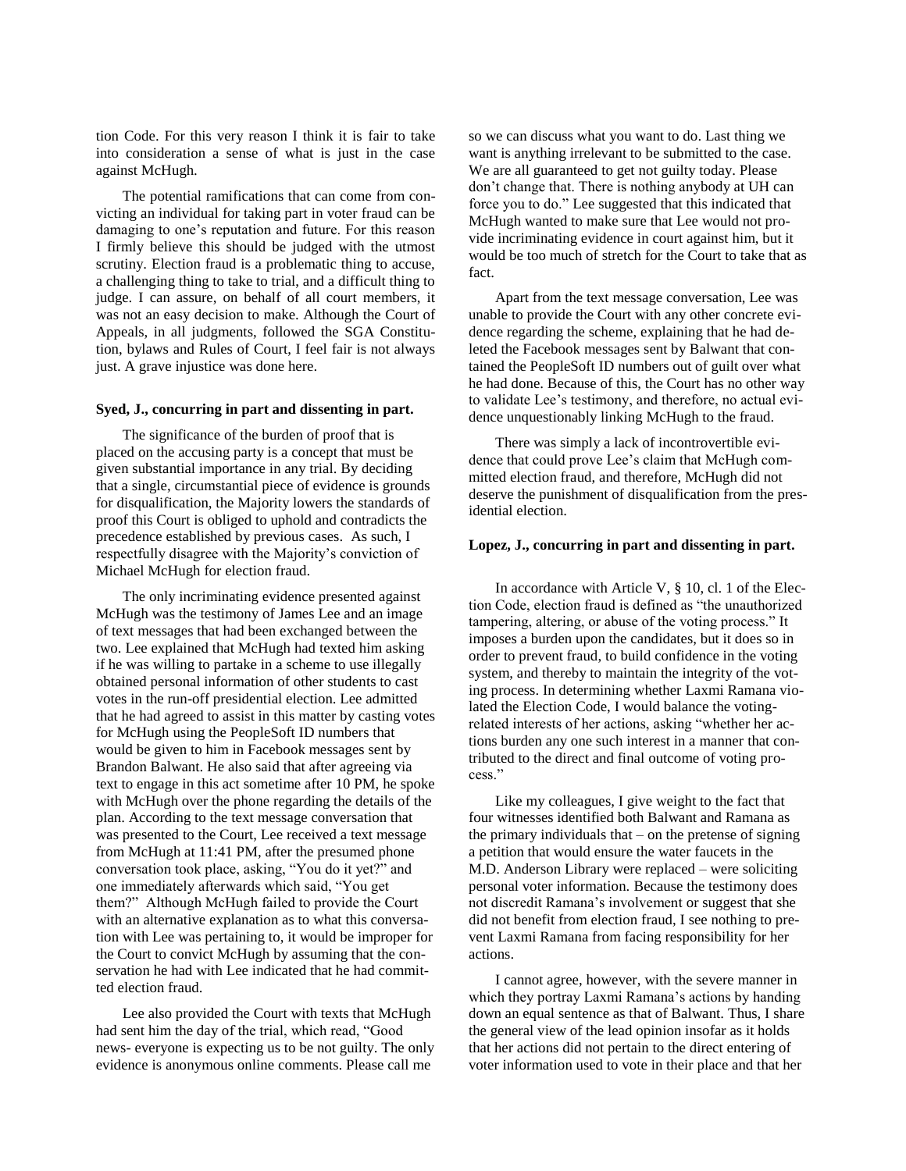tion Code. For this very reason I think it is fair to take into consideration a sense of what is just in the case against McHugh.

The potential ramifications that can come from convicting an individual for taking part in voter fraud can be damaging to one's reputation and future. For this reason I firmly believe this should be judged with the utmost scrutiny. Election fraud is a problematic thing to accuse, a challenging thing to take to trial, and a difficult thing to judge. I can assure, on behalf of all court members, it was not an easy decision to make. Although the Court of Appeals, in all judgments, followed the SGA Constitution, bylaws and Rules of Court, I feel fair is not always just. A grave injustice was done here.

#### **Syed, J., concurring in part and dissenting in part.**

The significance of the burden of proof that is placed on the accusing party is a concept that must be given substantial importance in any trial. By deciding that a single, circumstantial piece of evidence is grounds for disqualification, the Majority lowers the standards of proof this Court is obliged to uphold and contradicts the precedence established by previous cases. As such, I respectfully disagree with the Majority's conviction of Michael McHugh for election fraud.

The only incriminating evidence presented against McHugh was the testimony of James Lee and an image of text messages that had been exchanged between the two. Lee explained that McHugh had texted him asking if he was willing to partake in a scheme to use illegally obtained personal information of other students to cast votes in the run-off presidential election. Lee admitted that he had agreed to assist in this matter by casting votes for McHugh using the PeopleSoft ID numbers that would be given to him in Facebook messages sent by Brandon Balwant. He also said that after agreeing via text to engage in this act sometime after 10 PM, he spoke with McHugh over the phone regarding the details of the plan. According to the text message conversation that was presented to the Court, Lee received a text message from McHugh at 11:41 PM, after the presumed phone conversation took place, asking, "You do it yet?" and one immediately afterwards which said, "You get them?" Although McHugh failed to provide the Court with an alternative explanation as to what this conversation with Lee was pertaining to, it would be improper for the Court to convict McHugh by assuming that the conservation he had with Lee indicated that he had committed election fraud.

Lee also provided the Court with texts that McHugh had sent him the day of the trial, which read, "Good news- everyone is expecting us to be not guilty. The only evidence is anonymous online comments. Please call me

so we can discuss what you want to do. Last thing we want is anything irrelevant to be submitted to the case. We are all guaranteed to get not guilty today. Please don't change that. There is nothing anybody at UH can force you to do." Lee suggested that this indicated that McHugh wanted to make sure that Lee would not provide incriminating evidence in court against him, but it would be too much of stretch for the Court to take that as fact.

Apart from the text message conversation, Lee was unable to provide the Court with any other concrete evidence regarding the scheme, explaining that he had deleted the Facebook messages sent by Balwant that contained the PeopleSoft ID numbers out of guilt over what he had done. Because of this, the Court has no other way to validate Lee's testimony, and therefore, no actual evidence unquestionably linking McHugh to the fraud.

There was simply a lack of incontrovertible evidence that could prove Lee's claim that McHugh committed election fraud, and therefore, McHugh did not deserve the punishment of disqualification from the presidential election.

### **Lopez, J., concurring in part and dissenting in part.**

In accordance with Article V, § 10, cl. 1 of the Election Code, election fraud is defined as "the unauthorized tampering, altering, or abuse of the voting process." It imposes a burden upon the candidates, but it does so in order to prevent fraud, to build confidence in the voting system, and thereby to maintain the integrity of the voting process. In determining whether Laxmi Ramana violated the Election Code, I would balance the votingrelated interests of her actions, asking "whether her actions burden any one such interest in a manner that contributed to the direct and final outcome of voting process."

Like my colleagues, I give weight to the fact that four witnesses identified both Balwant and Ramana as the primary individuals that – on the pretense of signing a petition that would ensure the water faucets in the M.D. Anderson Library were replaced – were soliciting personal voter information. Because the testimony does not discredit Ramana's involvement or suggest that she did not benefit from election fraud, I see nothing to prevent Laxmi Ramana from facing responsibility for her actions.

I cannot agree, however, with the severe manner in which they portray Laxmi Ramana's actions by handing down an equal sentence as that of Balwant. Thus, I share the general view of the lead opinion insofar as it holds that her actions did not pertain to the direct entering of voter information used to vote in their place and that her